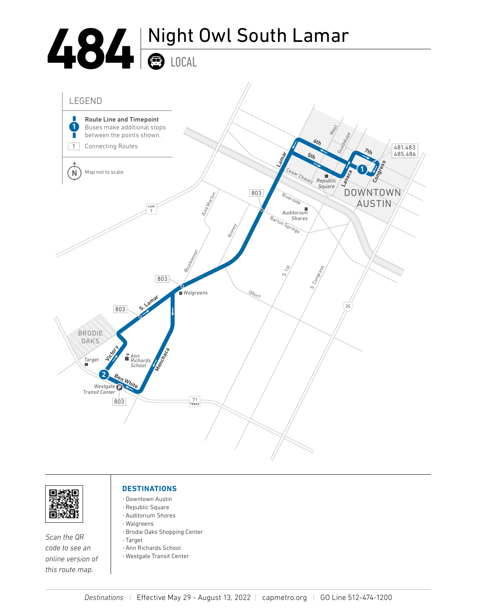





*Scan the QR code to see an online version of this route map.*

## **DESTINATIONS**

- •Downtown Austin •Republic Square
- •Auditorium Shores
- Walgreens
- •Brodie Oaks Shopping Center
- Target
- •Ann Richards School
- Westgate Transit Center